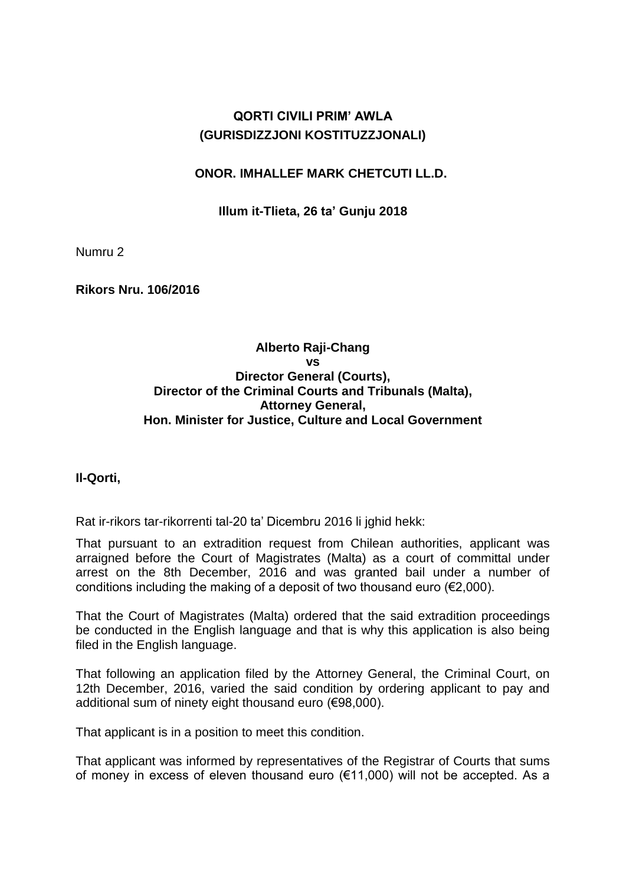# **QORTI CIVILI PRIM' AWLA (GURISDIZZJONI KOSTITUZZJONALI)**

### **ONOR. IMHALLEF MARK CHETCUTI LL.D.**

### **Illum it-Tlieta, 26 ta' Gunju 2018**

Numru 2

**Rikors Nru. 106/2016**

### **Alberto Raji-Chang vs Director General (Courts), Director of the Criminal Courts and Tribunals (Malta), Attorney General, Hon. Minister for Justice, Culture and Local Government**

### **Il-Qorti,**

Rat ir-rikors tar-rikorrenti tal-20 ta' Dicembru 2016 li jghid hekk:

That pursuant to an extradition request from Chilean authorities, applicant was arraigned before the Court of Magistrates (Malta) as a court of committal under arrest on the 8th December, 2016 and was granted bail under a number of conditions including the making of a deposit of two thousand euro (€2,000).

That the Court of Magistrates (Malta) ordered that the said extradition proceedings be conducted in the English language and that is why this application is also being filed in the English language.

That following an application filed by the Attorney General, the Criminal Court, on 12th December, 2016, varied the said condition by ordering applicant to pay and additional sum of ninety eight thousand euro (€98,000).

That applicant is in a position to meet this condition.

That applicant was informed by representatives of the Registrar of Courts that sums of money in excess of eleven thousand euro (€11,000) will not be accepted. As a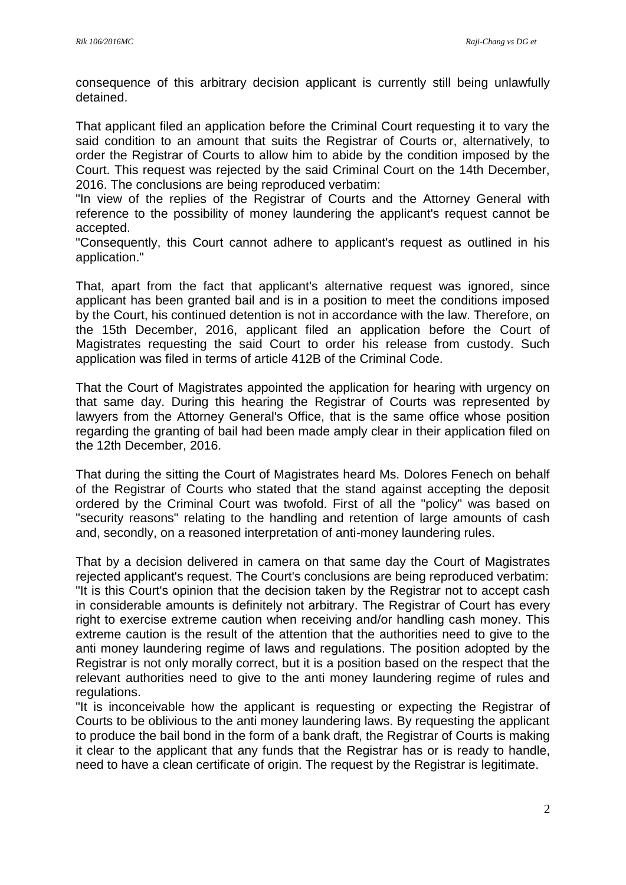consequence of this arbitrary decision applicant is currently still being unlawfully detained.

That applicant filed an application before the Criminal Court requesting it to vary the said condition to an amount that suits the Registrar of Courts or, alternatively, to order the Registrar of Courts to allow him to abide by the condition imposed by the Court. This request was rejected by the said Criminal Court on the 14th December, 2016. The conclusions are being reproduced verbatim:

"In view of the replies of the Registrar of Courts and the Attorney General with reference to the possibility of money laundering the applicant's request cannot be accepted.

"Consequently, this Court cannot adhere to applicant's request as outlined in his application."

That, apart from the fact that applicant's alternative request was ignored, since applicant has been granted bail and is in a position to meet the conditions imposed by the Court, his continued detention is not in accordance with the law. Therefore, on the 15th December, 2016, applicant filed an application before the Court of Magistrates requesting the said Court to order his release from custody. Such application was filed in terms of article 412B of the Criminal Code.

That the Court of Magistrates appointed the application for hearing with urgency on that same day. During this hearing the Registrar of Courts was represented by lawyers from the Attorney General's Office, that is the same office whose position regarding the granting of bail had been made amply clear in their application filed on the 12th December, 2016.

That during the sitting the Court of Magistrates heard Ms. Dolores Fenech on behalf of the Registrar of Courts who stated that the stand against accepting the deposit ordered by the Criminal Court was twofold. First of all the "policy" was based on "security reasons" relating to the handling and retention of large amounts of cash and, secondly, on a reasoned interpretation of anti-money laundering rules.

That by a decision delivered in camera on that same day the Court of Magistrates rejected applicant's request. The Court's conclusions are being reproduced verbatim: "It is this Court's opinion that the decision taken by the Registrar not to accept cash in considerable amounts is definitely not arbitrary. The Registrar of Court has every right to exercise extreme caution when receiving and/or handling cash money. This extreme caution is the result of the attention that the authorities need to give to the anti money laundering regime of laws and regulations. The position adopted by the Registrar is not only morally correct, but it is a position based on the respect that the relevant authorities need to give to the anti money laundering regime of rules and regulations.

"It is inconceivable how the applicant is requesting or expecting the Registrar of Courts to be oblivious to the anti money laundering laws. By requesting the applicant to produce the bail bond in the form of a bank draft, the Registrar of Courts is making it clear to the applicant that any funds that the Registrar has or is ready to handle, need to have a clean certificate of origin. The request by the Registrar is legitimate.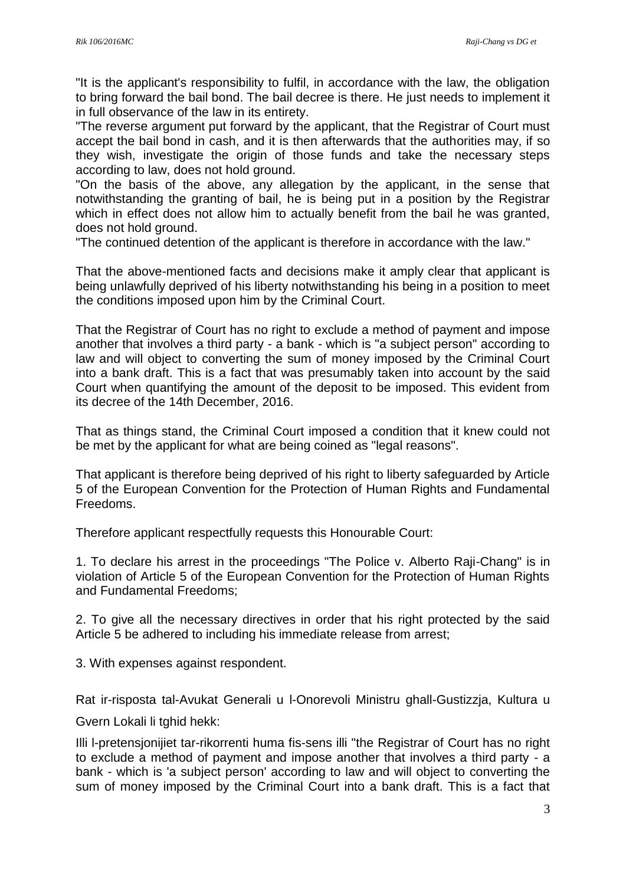"It is the applicant's responsibility to fulfil, in accordance with the law, the obligation to bring forward the bail bond. The bail decree is there. He just needs to implement it in full observance of the law in its entirety.

"The reverse argument put forward by the applicant, that the Registrar of Court must accept the bail bond in cash, and it is then afterwards that the authorities may, if so they wish, investigate the origin of those funds and take the necessary steps according to law, does not hold ground.

"On the basis of the above, any allegation by the applicant, in the sense that notwithstanding the granting of bail, he is being put in a position by the Registrar which in effect does not allow him to actually benefit from the bail he was granted. does not hold ground.

"The continued detention of the applicant is therefore in accordance with the law."

That the above-mentioned facts and decisions make it amply clear that applicant is being unlawfully deprived of his liberty notwithstanding his being in a position to meet the conditions imposed upon him by the Criminal Court.

That the Registrar of Court has no right to exclude a method of payment and impose another that involves a third party - a bank - which is "a subject person" according to law and will object to converting the sum of money imposed by the Criminal Court into a bank draft. This is a fact that was presumably taken into account by the said Court when quantifying the amount of the deposit to be imposed. This evident from its decree of the 14th December, 2016.

That as things stand, the Criminal Court imposed a condition that it knew could not be met by the applicant for what are being coined as "legal reasons".

That applicant is therefore being deprived of his right to liberty safeguarded by Article 5 of the European Convention for the Protection of Human Rights and Fundamental Freedoms.

Therefore applicant respectfully requests this Honourable Court:

1. To declare his arrest in the proceedings "The Police v. Alberto Raji-Chang" is in violation of Article 5 of the European Convention for the Protection of Human Rights and Fundamental Freedoms;

2. To give all the necessary directives in order that his right protected by the said Article 5 be adhered to including his immediate release from arrest;

3. With expenses against respondent.

Rat ir-risposta tal-Avukat Generali u l-Onorevoli Ministru ghall-Gustizzja, Kultura u

Gvern Lokali li tghid hekk:

Illi l-pretensjonijiet tar-rikorrenti huma fis-sens illi "the Registrar of Court has no right to exclude a method of payment and impose another that involves a third party - a bank - which is 'a subject person' according to law and will object to converting the sum of money imposed by the Criminal Court into a bank draft. This is a fact that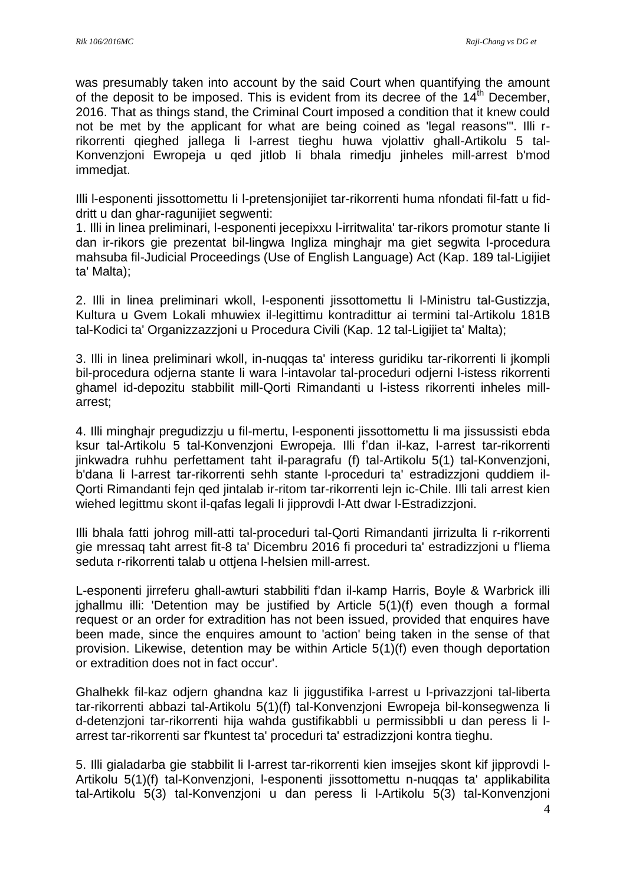was presumably taken into account by the said Court when quantifying the amount of the deposit to be imposed. This is evident from its decree of the  $14^{\text{th}}$  December, 2016. That as things stand, the Criminal Court imposed a condition that it knew could not be met by the applicant for what are being coined as 'legal reasons'". Illi rrikorrenti qieghed jallega li l-arrest tieghu huwa vjolattiv ghall-Artikolu 5 tal-Konvenzjoni Ewropeja u qed jitlob Ii bhala rimedju jinheles mill-arrest b'mod immedjat.

Illi l-esponenti jissottomettu Ii l-pretensjonijiet tar-rikorrenti huma nfondati fil-fatt u fiddritt u dan ghar-ragunijiet segwenti:

1. Illi in linea preliminari, l-esponenti jecepixxu l-irritwalita' tar-rikors promotur stante Ii dan ir-rikors gie prezentat bil-lingwa Ingliza minghajr ma giet segwita l-procedura mahsuba fil-Judicial Proceedings (Use of English Language) Act (Kap. 189 tal-Ligijiet ta' Malta);

2. Illi in linea preliminari wkoll, l-esponenti jissottomettu li l-Ministru tal-Gustizzja, Kultura u Gvem Lokali mhuwiex il-legittimu kontradittur ai termini tal-Artikolu 181B tal-Kodici ta' Organizzazzjoni u Procedura Civili (Kap. 12 tal-Ligijiet ta' Malta);

3. Illi in linea preliminari wkoll, in-nuqqas ta' interess guridiku tar-rikorrenti li jkompli bil-procedura odjerna stante li wara l-intavolar tal-proceduri odjerni l-istess rikorrenti ghamel id-depozitu stabbilit mill-Qorti Rimandanti u l-istess rikorrenti inheles millarrest;

4. Illi minghajr pregudizzju u fil-mertu, l-esponenti jissottomettu li ma jissussisti ebda ksur tal-Artikolu 5 tal-Konvenzjoni Ewropeja. Illi f'dan il-kaz, l-arrest tar-rikorrenti jinkwadra ruhhu perfettament taht il-paragrafu (f) tal-Artikolu 5(1) tal-Konvenzjoni, b'dana li l-arrest tar-rikorrenti sehh stante l-proceduri ta' estradizzjoni quddiem il-Qorti Rimandanti fejn qed jintalab ir-ritom tar-rikorrenti lejn ic-Chile. Illi tali arrest kien wiehed legittmu skont il-qafas legali Ii jipprovdi l-Att dwar l-Estradizzjoni.

Illi bhala fatti johrog mill-atti tal-proceduri tal-Qorti Rimandanti jirrizulta li r-rikorrenti gie mressaq taht arrest fit-8 ta' Dicembru 2016 fi proceduri ta' estradizzjoni u f'liema seduta r-rikorrenti talab u ottjena l-helsien mill-arrest.

L-esponenti jirreferu ghall-awturi stabbiliti f'dan il-kamp Harris, Boyle & Warbrick illi jghallmu illi: 'Detention may be justified by Article 5(1)(f) even though a formal request or an order for extradition has not been issued, provided that enquires have been made, since the enquires amount to 'action' being taken in the sense of that provision. Likewise, detention may be within Article 5(1)(f) even though deportation or extradition does not in fact occur'.

Ghalhekk fil-kaz odjern ghandna kaz li jiggustifika l-arrest u l-privazzjoni tal-liberta tar-rikorrenti abbazi tal-Artikolu 5(1)(f) tal-Konvenzjoni Ewropeja bil-konsegwenza li d-detenzjoni tar-rikorrenti hija wahda gustifikabbli u permissibbIi u dan peress li larrest tar-rikorrenti sar f'kuntest ta' proceduri ta' estradizzjoni kontra tieghu.

5. Illi gialadarba gie stabbilit li l-arrest tar-rikorrenti kien imsejjes skont kif jipprovdi l-Artikolu 5(1)(f) tal-Konvenzjoni, l-esponenti jissottomettu n-nuqqas ta' applikabilita tal-Artikolu 5(3) tal-Konvenzjoni u dan peress li l-Artikolu 5(3) tal-Konvenzjoni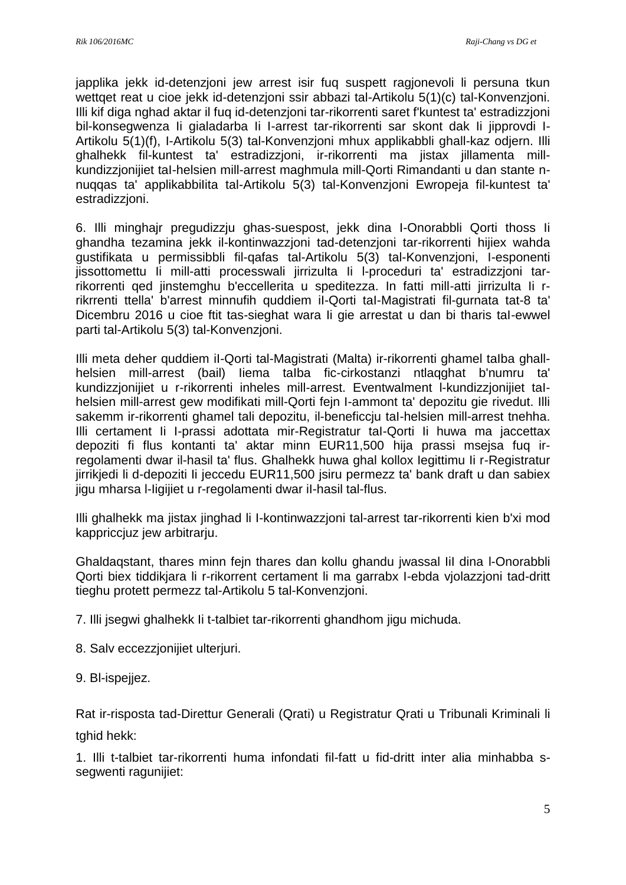japplika jekk id-detenzjoni jew arrest isir fuq suspett ragjonevoli li persuna tkun wettqet reat u cioe jekk id-detenzjoni ssir abbazi tal-Artikolu 5(1)(c) tal-Konvenzjoni. Illi kif diga nghad aktar il fuq id-detenzjoni tar-rikorrenti saret f'kuntest ta' estradizzjoni bil-konsegwenza Ii gialadarba Ii I-arrest tar-rikorrenti sar skont dak Ii jipprovdi I-Artikolu 5(1)(f), I-Artikolu 5(3) tal-Konvenzjoni mhux applikabbli ghall-kaz odjern. Illi ghalhekk fil-kuntest ta' estradizzjoni, ir-rikorrenti ma jistax jillamenta millkundizzjonijiet taI-helsien mill-arrest maghmula mill-Qorti Rimandanti u dan stante nnuqqas ta' applikabbiIita tal-Artikolu 5(3) tal-Konvenzjoni Ewropeja fil-kuntest ta' estradizzjoni.

6. Illi minghajr pregudizzju ghas-suespost, jekk dina I-Onorabbli Qorti thoss Ii ghandha tezamina jekk il-kontinwazzjoni tad-detenzjoni tar-rikorrenti hijiex wahda gustifikata u permissibbli fil-qafas tal-Artikolu 5(3) tal-Konvenzjoni, I-esponenti jissottomettu Ii mill-atti processwali jirrizulta Ii l-proceduri ta' estradizzjoni tarrikorrenti qed jinstemghu b'eccellerita u speditezza. In fatti mill-atti jirrizulta Ii rrikrrenti ttella' b'arrest minnufih quddiem iI-Qorti taI-Magistrati fil-gurnata tat-8 ta' Dicembru 2016 u cioe ftit tas-sieghat wara Ii gie arrestat u dan bi tharis taI-ewwel parti tal-Artikolu 5(3) tal-Konvenzjoni.

Illi meta deher quddiem iI-Qorti tal-Magistrati (Malta) ir-rikorrenti ghamel taIba ghallhelsien mill-arrest (bail) Iiema taIba fic-cirkostanzi ntlaqghat b'numru ta' kundizzjonijiet u r-rikorrenti inheles mill-arrest. Eventwalment l-kundizzjonijiet taIhelsien mill-arrest gew modifikati mill-Qorti fejn I-ammont ta' depozitu gie rivedut. Illi sakemm ir-rikorrenti ghamel tali depozitu, il-beneficcju taI-helsien mill-arrest tnehha. Illi certament Ii I-prassi adottata mir-Registratur taI-Qorti Ii huwa ma jaccettax depoziti fi flus kontanti ta' aktar minn EUR11,500 hija prassi msejsa fuq irregolamenti dwar il-hasil ta' flus. Ghalhekk huwa ghal kollox Iegittimu Ii r-Registratur jirrikjedi li d-depoziti Ii jeccedu EUR11,500 jsiru permezz ta' bank draft u dan sabiex jigu mharsa l-Iigijiet u r-regolamenti dwar iI-hasil tal-flus.

Illi ghalhekk ma jistax jinghad li I-kontinwazzjoni tal-arrest tar-rikorrenti kien b'xi mod kappriccjuz jew arbitrarju.

Ghaldaqstant, thares minn fejn thares dan kollu ghandu jwassal IiI dina l-Onorabbli Qorti biex tiddikjara li r-rikorrent certament li ma garrabx I-ebda vjolazzjoni tad-dritt tieghu protett permezz tal-Artikolu 5 tal-Konvenzjoni.

7. Illi jsegwi ghalhekk Ii t-talbiet tar-rikorrenti ghandhom jigu michuda.

8. Salv eccezzjonijiet ulterjuri.

9. Bl-ispejjez.

Rat ir-risposta tad-Direttur Generali (Qrati) u Registratur Qrati u Tribunali Kriminali li tghid hekk:

1. Illi t-talbiet tar-rikorrenti huma infondati fil-fatt u fid-dritt inter alia minhabba ssegwenti ragunijiet: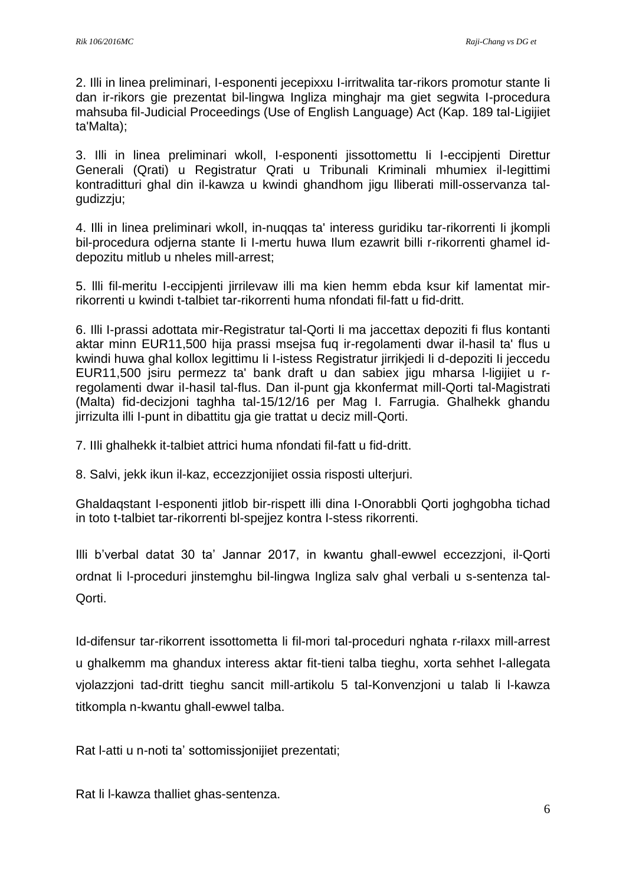2. Illi in linea preliminari, I-esponenti jecepixxu I-irritwalita tar-rikors promotur stante Ii dan ir-rikors gie prezentat bil-lingwa Ingliza minghajr ma giet segwita I-procedura mahsuba fil-Judicial Proceedings (Use of English Language) Act (Kap. 189 tal-Ligijiet ta'Malta);

3. Illi in linea preliminari wkoll, I-esponenti jissottomettu Ii I-eccipjenti Direttur Generali (Qrati) u Registratur Qrati u Tribunali Kriminali mhumiex il-Iegittimi kontraditturi ghal din il-kawza u kwindi ghandhom jigu lliberati mill-osservanza talgudizzju;

4. Illi in linea preliminari wkoll, in-nuqqas ta' interess guridiku tar-rikorrenti Ii jkompli bil-procedura odjerna stante Ii I-mertu huwa Ilum ezawrit billi r-rikorrenti ghamel iddepozitu mitlub u nheles mill-arrest;

5. llli fil-meritu I-eccipjenti jirrilevaw illi ma kien hemm ebda ksur kif lamentat mirrikorrenti u kwindi t-talbiet tar-rikorrenti huma nfondati fil-fatt u fid-dritt.

6. Illi I-prassi adottata mir-Registratur tal-Qorti Ii ma jaccettax depoziti fi flus kontanti aktar minn EUR11,500 hija prassi msejsa fuq ir-regolamenti dwar il-hasil ta' flus u kwindi huwa ghal kollox legittimu Ii I-istess Registratur jirrikjedi Ii d-depoziti Ii jeccedu EUR11,500 jsiru permezz ta' bank draft u dan sabiex jigu mharsa l-ligijiet u rregolamenti dwar iI-hasil tal-flus. Dan il-punt gja kkonfermat mill-Qorti tal-Magistrati (Malta) fid-decizjoni taghha tal-15/12/16 per Mag I. Farrugia. Ghalhekk ghandu jirrizulta illi I-punt in dibattitu gja gie trattat u deciz mill-Qorti.

7. IIli ghalhekk it-talbiet attrici huma nfondati fil-fatt u fid-dritt.

8. Salvi, jekk ikun il-kaz, eccezzjonijiet ossia risposti ulterjuri.

Ghaldaqstant I-esponenti jitlob bir-rispett illi dina I-Onorabbli Qorti joghgobha tichad in toto t-talbiet tar-rikorrenti bl-spejjez kontra I-stess rikorrenti.

Illi b'verbal datat 30 ta' Jannar 2017, in kwantu ghall-ewwel eccezzjoni, il-Qorti ordnat li l-proceduri jinstemghu bil-lingwa Ingliza salv ghal verbali u s-sentenza tal-Qorti.

Id-difensur tar-rikorrent issottometta li fil-mori tal-proceduri nghata r-rilaxx mill-arrest u ghalkemm ma ghandux interess aktar fit-tieni talba tieghu, xorta sehhet l-allegata vjolazzjoni tad-dritt tieghu sancit mill-artikolu 5 tal-Konvenzjoni u talab li l-kawza titkompla n-kwantu ghall-ewwel talba.

Rat l-atti u n-noti ta' sottomissjonijiet prezentati;

Rat li l-kawza thalliet ghas-sentenza.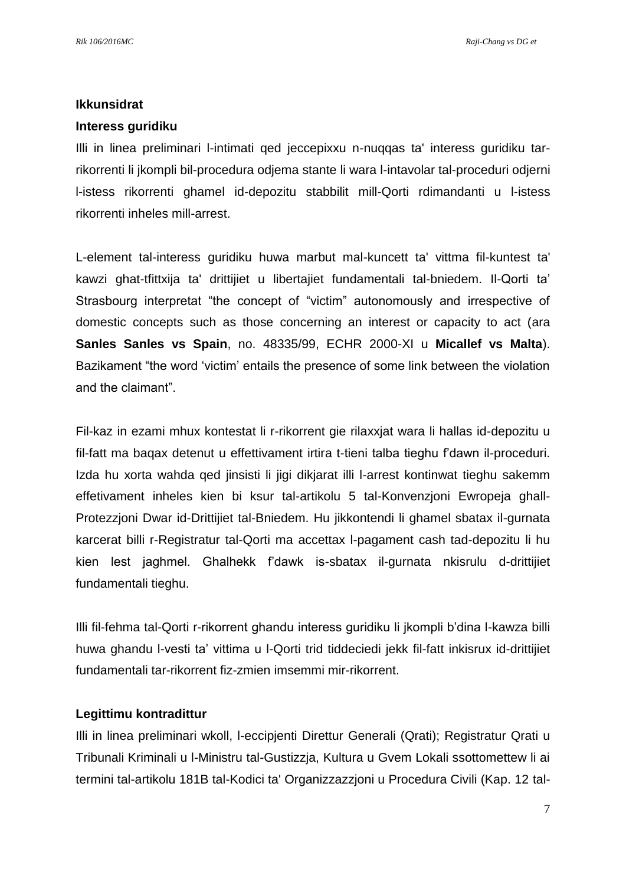#### **Ikkunsidrat**

#### **Interess guridiku**

Illi in linea preliminari l-intimati qed jeccepixxu n-nuqqas ta' interess guridiku tarrikorrenti li jkompli bil-procedura odjema stante li wara l-intavolar tal-proceduri odjerni l-istess rikorrenti ghamel id-depozitu stabbilit mill-Qorti rdimandanti u l-istess rikorrenti inheles mill-arrest.

L-element tal-interess guridiku huwa marbut mal-kuncett ta' vittma fil-kuntest ta' kawzi ghat-tfittxija ta' drittijiet u libertajiet fundamentali tal-bniedem. Il-Qorti ta' Strasbourg interpretat "the concept of "victim" autonomously and irrespective of domestic concepts such as those concerning an interest or capacity to act (ara **Sanles Sanles vs Spain**, no. 48335/99, ECHR 2000-XI u **Micallef vs Malta**). Bazikament "the word 'victim' entails the presence of some link between the violation and the claimant".

Fil-kaz in ezami mhux kontestat li r-rikorrent gie rilaxxjat wara li hallas id-depozitu u fil-fatt ma baqax detenut u effettivament irtira t-tieni talba tieghu f'dawn il-proceduri. Izda hu xorta wahda qed jinsisti li jigi dikjarat illi l-arrest kontinwat tieghu sakemm effetivament inheles kien bi ksur tal-artikolu 5 tal-Konvenzjoni Ewropeja ghall-Protezzjoni Dwar id-Drittijiet tal-Bniedem. Hu jikkontendi li ghamel sbatax il-gurnata karcerat billi r-Registratur tal-Qorti ma accettax l-pagament cash tad-depozitu li hu kien lest jaghmel. Ghalhekk f'dawk is-sbatax il-gurnata nkisrulu d-drittijiet fundamentali tieghu.

Illi fil-fehma tal-Qorti r-rikorrent ghandu interess guridiku li jkompli b'dina l-kawza billi huwa ghandu l-vesti ta' vittima u l-Qorti trid tiddeciedi jekk fil-fatt inkisrux id-drittijiet fundamentali tar-rikorrent fiz-zmien imsemmi mir-rikorrent.

### **Legittimu kontradittur**

Illi in linea preliminari wkoll, l-eccipjenti Direttur Generali (Qrati); Registratur Qrati u Tribunali Kriminali u l-Ministru tal-Gustizzja, Kultura u Gvem Lokali ssottomettew li ai termini tal-artikolu 181B tal-Kodici ta' Organizzazzjoni u Procedura Civili (Kap. 12 tal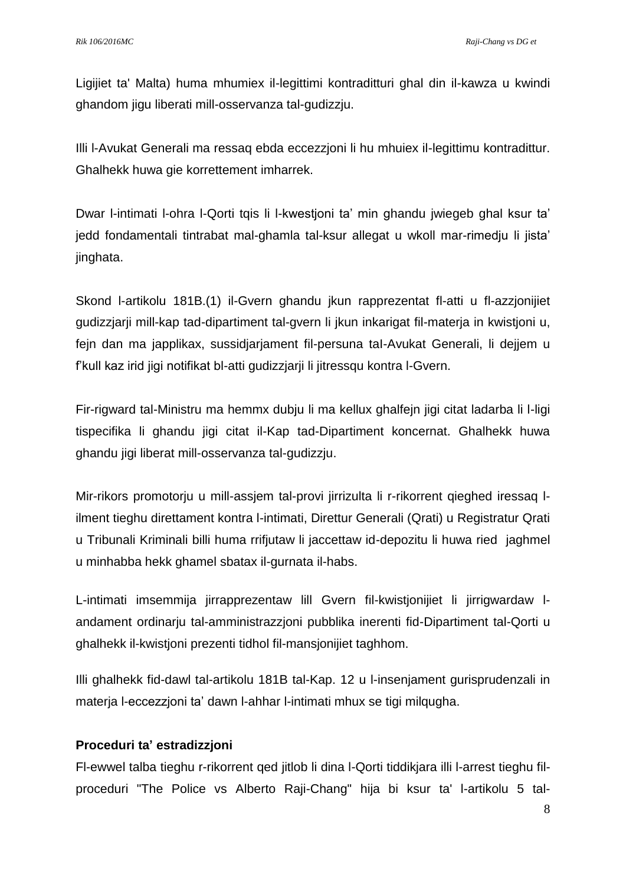Ligijiet ta' Malta) huma mhumiex il-legittimi kontraditturi ghal din il-kawza u kwindi ghandom jigu liberati mill-osservanza tal-gudizzju.

Illi l-Avukat Generali ma ressaq ebda eccezzjoni li hu mhuiex il-legittimu kontradittur. Ghalhekk huwa gie korrettement imharrek.

Dwar l-intimati l-ohra l-Qorti tqis li l-kwestjoni ta' min ghandu jwiegeb ghal ksur ta' jedd fondamentali tintrabat mal-ghamla tal-ksur allegat u wkoll mar-rimedju li jista' jinghata.

Skond l-artikolu 181B.(1) il-Gvern ghandu jkun rapprezentat fl-atti u fl-azzjonijiet gudizzjarji mill-kap tad-dipartiment tal-gvern li jkun inkarigat fil-materja in kwistjoni u, fejn dan ma japplikax, sussidjarjament fil-persuna taI-Avukat Generali, li dejjem u f'kull kaz irid jigi notifikat bl-atti gudizzjarji li jitressqu kontra l-Gvern.

Fir-rigward tal-Ministru ma hemmx dubju li ma kellux ghalfejn jigi citat ladarba li l-ligi tispecifika li ghandu jigi citat il-Kap tad-Dipartiment koncernat. Ghalhekk huwa ghandu jigi liberat mill-osservanza tal-gudizzju.

Mir-rikors promotorju u mill-assjem tal-provi jirrizulta li r-rikorrent qieghed iressaq lilment tieghu direttament kontra l-intimati, Direttur Generali (Qrati) u Registratur Qrati u Tribunali Kriminali billi huma rrifjutaw li jaccettaw id-depozitu li huwa ried jaghmel u minhabba hekk ghamel sbatax il-gurnata il-habs.

L-intimati imsemmija jirrapprezentaw lill Gvern fil-kwistjonijiet li jirrigwardaw landament ordinarju tal-amministrazzjoni pubblika inerenti fid-Dipartiment tal-Qorti u ghalhekk il-kwistjoni prezenti tidhol fil-mansjonijiet taghhom.

Illi ghalhekk fid-dawl tal-artikolu 181B tal-Kap. 12 u l-insenjament gurisprudenzali in materja l-eccezzjoni ta' dawn l-ahhar l-intimati mhux se tigi milqugha.

## **Proceduri ta' estradizzjoni**

Fl-ewwel talba tieghu r-rikorrent qed jitlob li dina l-Qorti tiddikjara illi l-arrest tieghu filproceduri "The Police vs Alberto Raji-Chang" hija bi ksur ta' l-artikolu 5 tal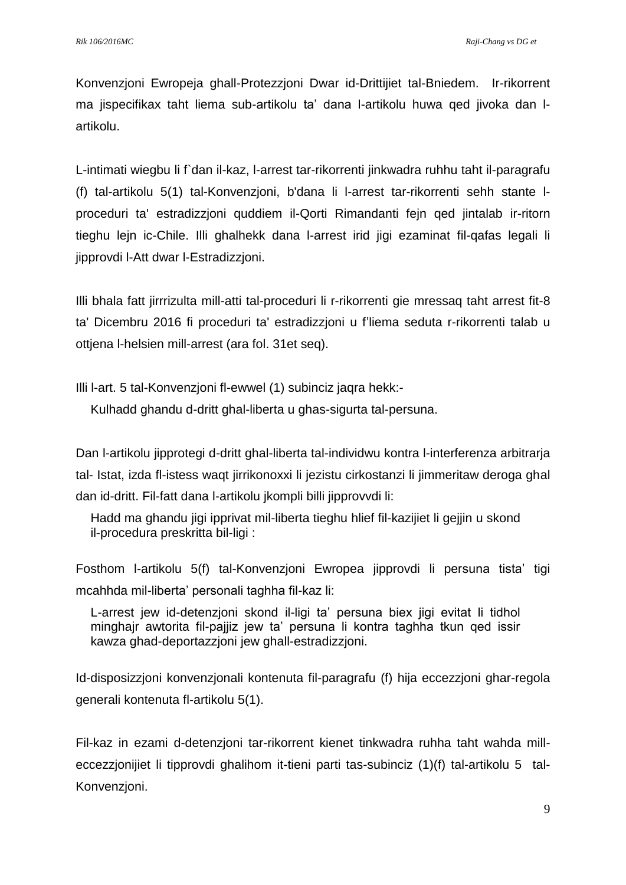Konvenzjoni Ewropeja ghall-Protezzjoni Dwar id-Drittijiet tal-Bniedem. Ir-rikorrent ma jispecifikax taht liema sub-artikolu ta' dana l-artikolu huwa qed jivoka dan lartikolu.

L-intimati wiegbu li f`dan il-kaz, l-arrest tar-rikorrenti jinkwadra ruhhu taht il-paragrafu (f) tal-artikolu 5(1) tal-Konvenzjoni, b'dana li l-arrest tar-rikorrenti sehh stante lproceduri ta' estradizzjoni quddiem il-Qorti Rimandanti fejn qed jintalab ir-ritorn tieghu lejn ic-Chile. Illi ghalhekk dana l-arrest irid jigi ezaminat fil-qafas legali li jipprovdi l-Att dwar l-Estradizzjoni.

Illi bhala fatt jirrrizulta mill-atti tal-proceduri li r-rikorrenti gie mressaq taht arrest fit-8 ta' Dicembru 2016 fi proceduri ta' estradizzjoni u f'liema seduta r-rikorrenti talab u ottjena l-helsien mill-arrest (ara fol. 31et seq).

Illi l-art. 5 tal-Konvenzjoni fl-ewwel (1) subinciz jaqra hekk:-

Kulhadd ghandu d-dritt ghal-liberta u ghas-sigurta tal-persuna.

Dan l-artikolu jipprotegi d-dritt ghal-liberta tal-individwu kontra l-interferenza arbitrarja tal- Istat, izda fl-istess waqt jirrikonoxxi li jezistu cirkostanzi li jimmeritaw deroga ghal dan id-dritt. Fil-fatt dana l-artikolu jkompli billi jipprovvdi li:

Hadd ma ghandu jigi ipprivat mil-liberta tieghu hlief fil-kazijiet li gejjin u skond il-procedura preskritta bil-ligi :

Fosthom l-artikolu 5(f) tal-Konvenzjoni Ewropea jipprovdi li persuna tista' tigi mcahhda mil-liberta' personali taghha fil-kaz li:

L-arrest jew id-detenzjoni skond il-ligi ta' persuna biex jigi evitat li tidhol minghajr awtorita fil-pajjiz jew ta' persuna li kontra taghha tkun qed issir kawza ghad-deportazzjoni jew ghall-estradizzjoni.

Id-disposizzjoni konvenzjonali kontenuta fil-paragrafu (f) hija eccezzjoni ghar-regola generali kontenuta fl-artikolu 5(1).

Fil-kaz in ezami d-detenzjoni tar-rikorrent kienet tinkwadra ruhha taht wahda milleccezzjonijiet li tipprovdi ghalihom it-tieni parti tas-subinciz (1)(f) tal-artikolu 5 tal-Konvenzjoni.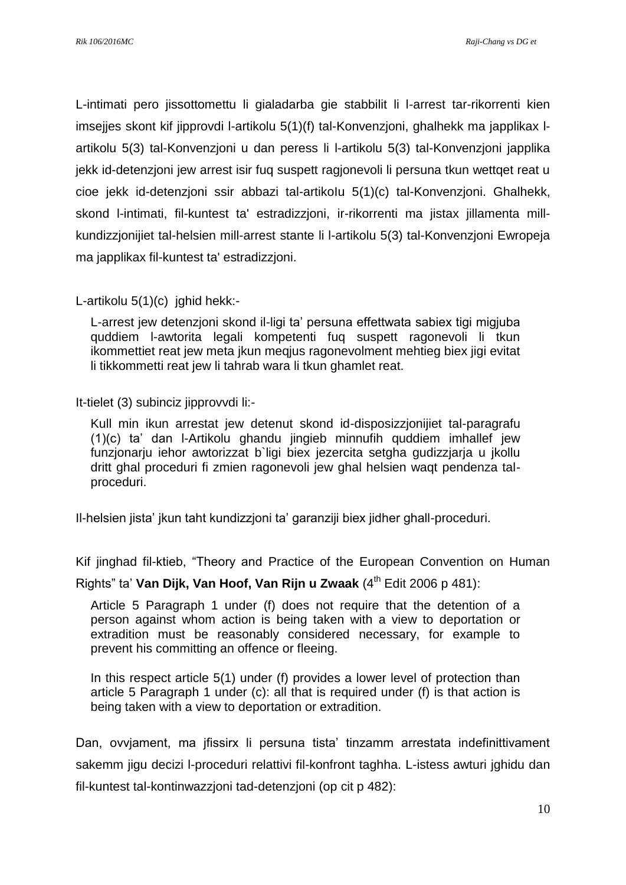L-intimati pero jissottomettu li gialadarba gie stabbilit li l-arrest tar-rikorrenti kien imsejjes skont kif jipprovdi l-artikolu 5(1)(f) tal-Konvenzjoni, ghalhekk ma japplikax lartikolu 5(3) tal-Konvenzjoni u dan peress li l-artikolu 5(3) tal-Konvenzjoni japplika jekk id-detenzjoni jew arrest isir fuq suspett ragjonevoli li persuna tkun wettqet reat u cioe jekk id-detenzjoni ssir abbazi tal-artikoIu 5(1)(c) tal-Konvenzjoni. Ghalhekk, skond l-intimati, fil-kuntest ta' estradizzjoni, ir-rikorrenti ma jistax jillamenta millkundizzjonijiet tal-helsien mill-arrest stante li l-artikolu 5(3) tal-Konvenzjoni Ewropeja ma japplikax fil-kuntest ta' estradizzjoni.

L-artikolu 5(1)(c) jghid hekk:-

L-arrest jew detenzjoni skond il-ligi ta' persuna effettwata sabiex tigi migjuba quddiem l-awtorita legali kompetenti fuq suspett ragonevoli li tkun ikommettiet reat jew meta jkun meqjus ragonevolment mehtieg biex jigi evitat li tikkommetti reat jew li tahrab wara li tkun ghamlet reat.

It-tielet (3) subinciz jipprovvdi li:-

Kull min ikun arrestat jew detenut skond id-disposizzjonijiet tal-paragrafu (1)(c) ta' dan l-Artikolu ghandu jingieb minnufih quddiem imhallef jew funzjonarju iehor awtorizzat b`ligi biex jezercita setgha gudizzjarja u jkollu dritt ghal proceduri fi zmien ragonevoli jew ghal helsien waqt pendenza talproceduri.

Il-helsien jista' jkun taht kundizzjoni ta' garanziji biex jidher ghall-proceduri.

Kif jinghad fil-ktieb, "Theory and Practice of the European Convention on Human

Rights" ta' **Van Dijk, Van Hoof, Van Rijn u Zwaak** (4<sup>th</sup> Edit 2006 p 481):

Article 5 Paragraph 1 under (f) does not require that the detention of a person against whom action is being taken with a view to deportation or extradition must be reasonably considered necessary, for example to prevent his committing an offence or fleeing.

In this respect article 5(1) under (f) provides a lower level of protection than article 5 Paragraph 1 under (c): all that is required under (f) is that action is being taken with a view to deportation or extradition.

Dan, ovvjament, ma jfissirx li persuna tista' tinzamm arrestata indefinittivament sakemm jigu decizi l-proceduri relattivi fil-konfront taghha. L-istess awturi jghidu dan fil-kuntest tal-kontinwazzjoni tad-detenzjoni (op cit p 482):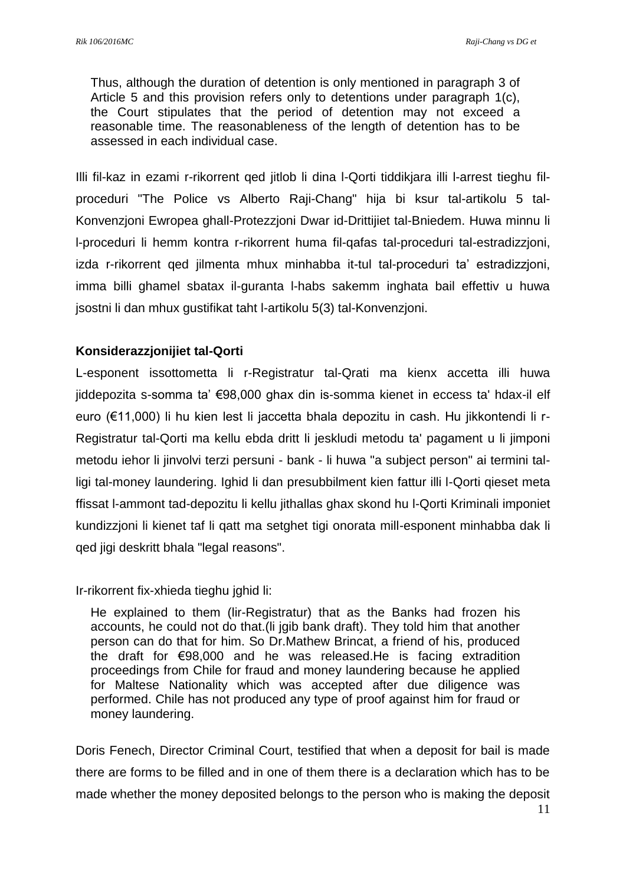Thus, although the duration of detention is only mentioned in paragraph 3 of Article 5 and this provision refers only to detentions under paragraph 1(c), the Court stipulates that the period of detention may not exceed a reasonable time. The reasonableness of the length of detention has to be assessed in each individual case.

Illi fil-kaz in ezami r-rikorrent qed jitlob li dina l-Qorti tiddikjara illi l-arrest tieghu filproceduri "The Police vs Alberto Raji-Chang" hija bi ksur tal-artikolu 5 tal-Konvenzjoni Ewropea ghall-Protezzjoni Dwar id-Drittijiet tal-Bniedem. Huwa minnu li l-proceduri li hemm kontra r-rikorrent huma fil-qafas tal-proceduri tal-estradizzjoni, izda r-rikorrent qed jilmenta mhux minhabba it-tul tal-proceduri ta' estradizzjoni, imma billi ghamel sbatax il-guranta l-habs sakemm inghata bail effettiv u huwa jsostni li dan mhux gustifikat taht l-artikolu 5(3) tal-Konvenzjoni.

### **Konsiderazzjonijiet tal-Qorti**

L-esponent issottometta li r-Registratur tal-Qrati ma kienx accetta illi huwa jiddepozita s-somma ta' €98,000 ghax din is-somma kienet in eccess ta' hdax-il elf euro (€11,000) li hu kien lest li jaccetta bhala depozitu in cash. Hu jikkontendi li r-Registratur tal-Qorti ma kellu ebda dritt li jeskludi metodu ta' pagament u li jimponi metodu iehor li jinvolvi terzi persuni - bank - li huwa "a subject person" ai termini talligi tal-money laundering. Ighid li dan presubbilment kien fattur illi l-Qorti qieset meta ffissat l-ammont tad-depozitu li kellu jithallas ghax skond hu l-Qorti Kriminali imponiet kundizzjoni li kienet taf li qatt ma setghet tigi onorata mill-esponent minhabba dak li qed jigi deskritt bhala "legal reasons".

Ir-rikorrent fix-xhieda tieghu jghid li:

He explained to them (lir-Registratur) that as the Banks had frozen his accounts, he could not do that.(li jgib bank draft). They told him that another person can do that for him. So Dr.Mathew Brincat, a friend of his, produced the draft for €98,000 and he was released.He is facing extradition proceedings from Chile for fraud and money laundering because he applied for Maltese Nationality which was accepted after due diligence was performed. Chile has not produced any type of proof against him for fraud or money laundering.

Doris Fenech, Director Criminal Court, testified that when a deposit for bail is made there are forms to be filled and in one of them there is a declaration which has to be made whether the money deposited belongs to the person who is making the deposit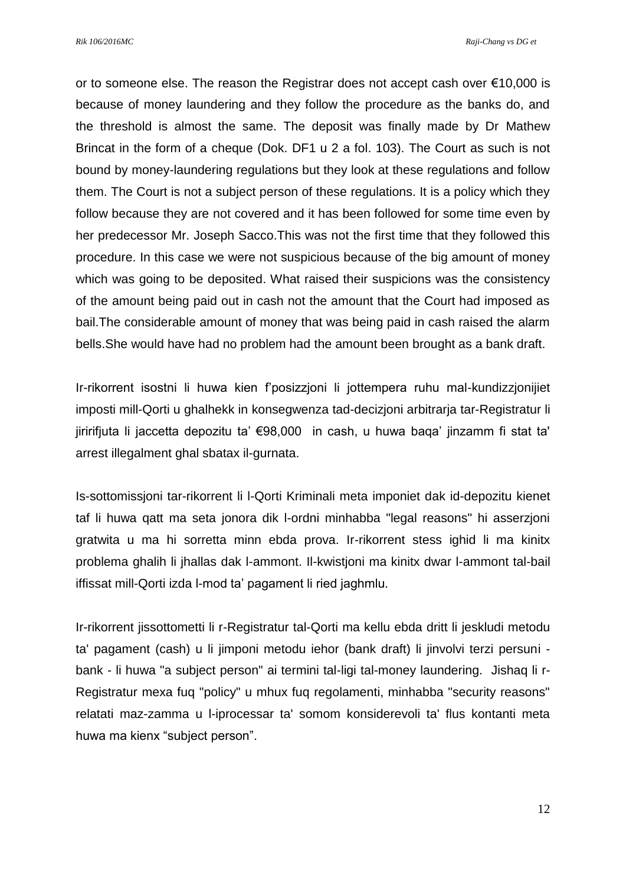*Rik 106/2016MC Raji-Chang vs DG et*

or to someone else. The reason the Registrar does not accept cash over €10,000 is because of money laundering and they follow the procedure as the banks do, and the threshold is almost the same. The deposit was finally made by Dr Mathew Brincat in the form of a cheque (Dok. DF1 u 2 a fol. 103). The Court as such is not bound by money-laundering regulations but they look at these regulations and follow them. The Court is not a subject person of these regulations. It is a policy which they follow because they are not covered and it has been followed for some time even by her predecessor Mr. Joseph Sacco.This was not the first time that they followed this procedure. In this case we were not suspicious because of the big amount of money which was going to be deposited. What raised their suspicions was the consistency of the amount being paid out in cash not the amount that the Court had imposed as bail.The considerable amount of money that was being paid in cash raised the alarm bells.She would have had no problem had the amount been brought as a bank draft.

Ir-rikorrent isostni li huwa kien f'posizzjoni li jottempera ruhu mal-kundizzjonijiet imposti mill-Qorti u ghalhekk in konsegwenza tad-decizjoni arbitrarja tar-Registratur li jiririfjuta li jaccetta depozitu ta' €98,000 in cash, u huwa baqa' jinzamm fi stat ta' arrest illegalment ghal sbatax il-gurnata.

Is-sottomissjoni tar-rikorrent li l-Qorti Kriminali meta imponiet dak id-depozitu kienet taf li huwa qatt ma seta jonora dik l-ordni minhabba "legal reasons" hi asserzjoni gratwita u ma hi sorretta minn ebda prova. Ir-rikorrent stess ighid li ma kinitx problema ghalih li jhallas dak l-ammont. Il-kwistjoni ma kinitx dwar l-ammont tal-bail iffissat mill-Qorti izda l-mod ta' pagament li ried jaghmlu.

Ir-rikorrent jissottometti li r-Registratur tal-Qorti ma kellu ebda dritt li jeskludi metodu ta' pagament (cash) u li jimponi metodu iehor (bank draft) li jinvolvi terzi persuni bank - li huwa "a subject person" ai termini tal-ligi tal-money laundering. Jishaq li r-Registratur mexa fuq "policy" u mhux fuq regolamenti, minhabba "security reasons" relatati maz-zamma u l-iprocessar ta' somom konsiderevoli ta' flus kontanti meta huwa ma kienx "subject person".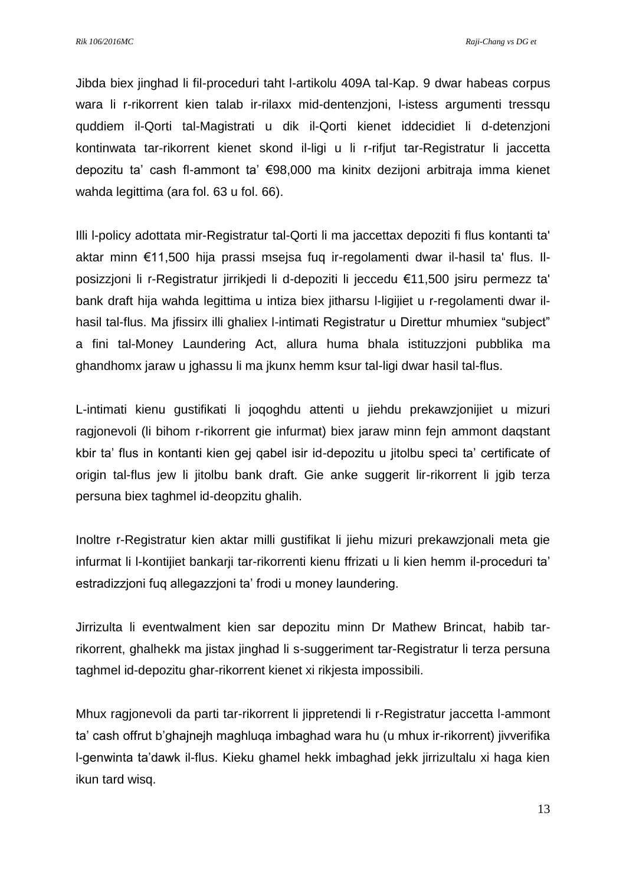*Rik 106/2016MC Raji-Chang vs DG et*

Jibda biex jinghad li fil-proceduri taht l-artikolu 409A tal-Kap. 9 dwar habeas corpus wara li r-rikorrent kien talab ir-rilaxx mid-dentenzjoni, l-istess argumenti tressqu quddiem il-Qorti tal-Magistrati u dik il-Qorti kienet iddecidiet li d-detenzjoni kontinwata tar-rikorrent kienet skond il-ligi u li r-rifjut tar-Registratur li jaccetta depozitu ta' cash fl-ammont ta' €98,000 ma kinitx dezijoni arbitraja imma kienet wahda legittima (ara fol. 63 u fol. 66).

Illi l-policy adottata mir-Registratur tal-Qorti li ma jaccettax depoziti fi flus kontanti ta' aktar minn €11,500 hija prassi msejsa fuq ir-regolamenti dwar il-hasil ta' flus. Ilposizzjoni li r-Registratur jirrikjedi li d-depoziti li jeccedu €11,500 jsiru permezz ta' bank draft hija wahda legittima u intiza biex jitharsu l-ligijiet u r-regolamenti dwar ilhasil tal-flus. Ma jfissirx illi ghaliex l-intimati Registratur u Direttur mhumiex "subject" a fini tal-Money Laundering Act, allura huma bhala istituzzjoni pubblika ma ghandhomx jaraw u jghassu li ma jkunx hemm ksur tal-ligi dwar hasil tal-flus.

L-intimati kienu gustifikati li joqoghdu attenti u jiehdu prekawzjonijiet u mizuri ragjonevoli (li bihom r-rikorrent gie infurmat) biex jaraw minn fejn ammont daqstant kbir ta' flus in kontanti kien gej qabel isir id-depozitu u jitolbu speci ta' certificate of origin tal-flus jew li jitolbu bank draft. Gie anke suggerit lir-rikorrent li jgib terza persuna biex taghmel id-deopzitu ghalih.

Inoltre r-Registratur kien aktar milli gustifikat li jiehu mizuri prekawzjonali meta gie infurmat li l-kontijiet bankarji tar-rikorrenti kienu ffrizati u li kien hemm il-proceduri ta' estradizzjoni fuq allegazzjoni ta' frodi u money laundering.

Jirrizulta li eventwalment kien sar depozitu minn Dr Mathew Brincat, habib tarrikorrent, ghalhekk ma jistax jinghad li s-suggeriment tar-Registratur li terza persuna taghmel id-depozitu ghar-rikorrent kienet xi rikjesta impossibili.

Mhux ragjonevoli da parti tar-rikorrent li jippretendi li r-Registratur jaccetta l-ammont ta' cash offrut b'ghajnejh maghluqa imbaghad wara hu (u mhux ir-rikorrent) jivverifika l-genwinta ta'dawk il-flus. Kieku ghamel hekk imbaghad jekk jirrizultalu xi haga kien ikun tard wisq.